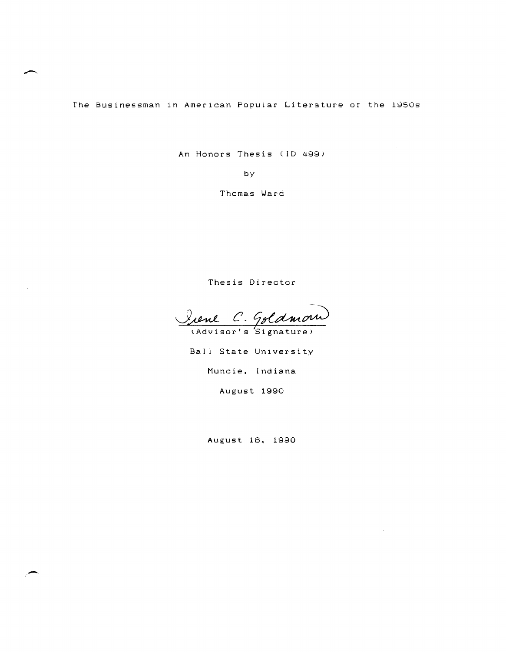The BusInessman in American Popular Literature of the 1950s

An Honors Thesis (ID *499i* 

by

Thomas Ward

Thesis Director

J~ *c.* 

tAdvisor's Signature)

Ball State University Muncie. Indiana

August 1990

August 18. 1990

--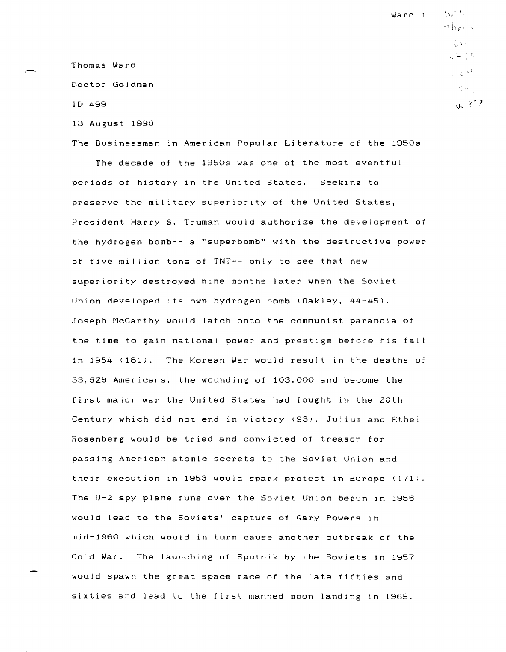Thomas Ward

Doctor Goldman

ID 499

13 August 1990

The Businessman in American Popular Literature of the 1950s

The decade of the 1950s was one of the most eventful periods of history in the United States. Seeking to preserve the military superiority of the United States, President Harry S. Truman would authorize the development of the hydrogen bomb-- a "superbomb" with the destructive power of five mil lion tons of TNT-- only to see that new superiority destroyed nine months later when the Soviet Union developed its own hydrogen bomb (Oakley, 44-45), Joseph McCarthy would latch onto the communist paranoia of the time to gain national power and prestige before his fall in  $1954$  ( $161$ ). The Korean War would result in the deaths of 33,629 Americans. the wounding of 103.000 and become the first major war the United States had fought in the 20th Century which did not end in victory (93). Julius and Ethel Rosenberg would be tried and convicted of treason for passing American atomic secrets to the Soviet Union and their execution in 1953 would spark protest in Europe (171). The U-2 spy plane runs over the Soviet Union begun in 1956 would lead to the Soviets' capture of Gary Powers in mid-l960 which would in turn cause another outbreak of the Cold War. The launching of Sputnik by the Soviets in 1957 would spawn the great space race of the late fifties and sixties and lead to the first manned moon landing in 1969.

 $\varsigma$ <sub>i</sub>  $\eta$  $\n *the l*\n$ 不好。  $24.39$ المحالي ال 국 수도  $W37$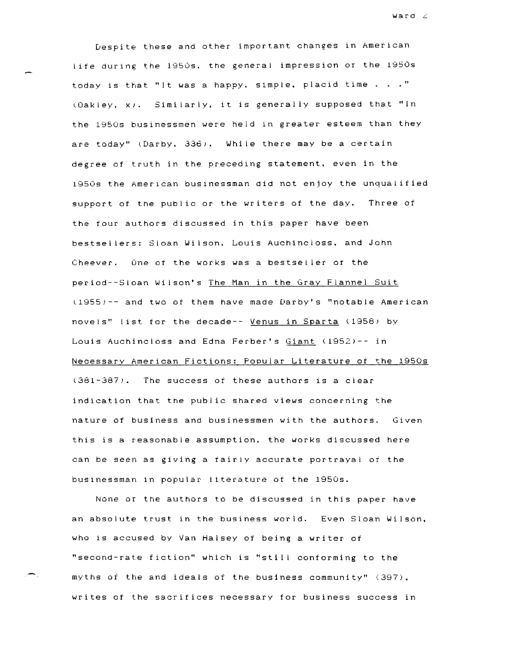$Ward \, \geq$ 

Despite these and other important changes in American life during the 1950s. the general impression or the 1950s today is that "It was a happy, simple, placid time  $\ldots$  ." lOakley. XJ. Similarly. it is generally supposed that "In the 1950s businessmen were held in greater esteem than they are today" (Darby. 336). While there may be a certain degree of truth in the preceding statement. even in the 19S0s the AmerIcan businessman did not enjoy the unqualified support of the public or the writers of the day. Three of the four authors discussed in this paper have been bestsellers: Sloan Wilson. Louis Auchincloss. and John Cheever. One of the works was a bestseller or the period--Sloan Wilson's The Man in the Gray Flannel Suit l195S)-- and two of them have made Darby's "notable American novels" list for the decade-- Venus in Sparta (1958) by Louis Auchincloss and Edna Ferber's Giant (1952)-- in Necessary American Fictions: Popular Literature of the 1950s  $(381-387)$ . The success of these authors is a clear indication that the public shared views concerning the nature of business and businessmen with the authors. Given this is a reasonable assumption. the works discussed here can be seen as giving a fairly accurate portrayal *at* the businessman 1n popular tlterature of the 1950s.

None or the authors to be discussed in this paper have an absolute trust in the business world. Even Sloan Wilson. who is accused by Van Halsey of being a writer of "second-rate fiction" which is "still conforming to the myths of the and ideals of the business community" (397). writes of the sacrifices necessary for business success in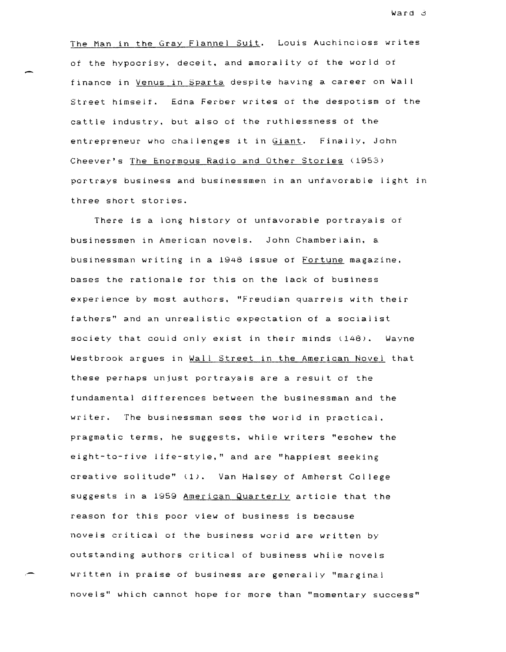ward 3

The Man in the Gray Flannel Suit. Louis Auchincloss writes of the hypocrisy. deceit. and amorality of the world ot finance in Venus in Sparta despite having a career on Wall Street himself. Edna Ferber writes of the despotism of the cattle industry. but also of the ruthlessness of the entrepreneur who challenges it in Giant. Finally, John Cheever's The Enormous Radio and Other Stories (1953) portrays business and businessmen in an unfavorable light in three short stories.

-

,-

There is a long history at unfavorable portrayals of businessmen in American novels. John Chamberlain. a businessman writing in a 1948 issue of Fortune magazine, bases the rationale for this on the lack of business experience by most authors. "Freudian quarrels with their fathers" and an unrealistic expectation of a socialist society that could only exist in their minds (148). Wayne Westbrook argues in Wall Street in the American Novel that these perhaps unjust portrayals are a result of the fundamental differences between the businessman and the writer. The businessman sees the world in practical. pragmatic terms, he suggests. while writers "eschew the eight-to-tive life-style," and are "happiest seeking creative solitude" (1). Van Halsey of Amherst College suggests in a 1959 American Quarterly article that the reason for this poor view of business is because novels critical of the business world are written by outstanding authors critical of business while novels written in praise of business are generally "marginal novels" which cannot hope for more than "momentary success"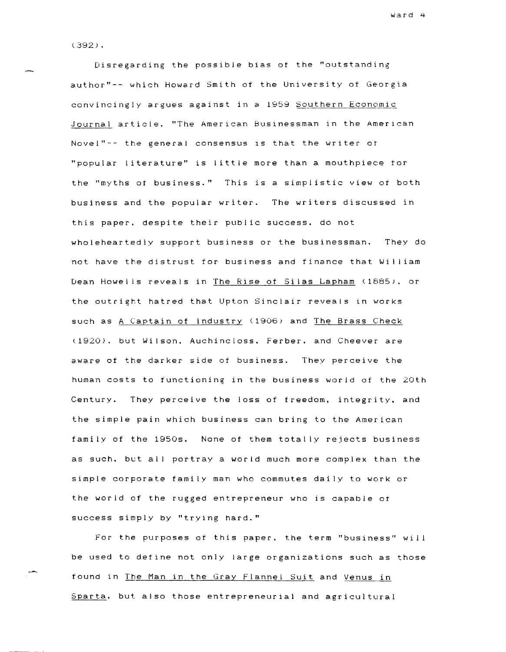(392) •

Disregarding the possible bias of the "outstanding author"-- which Howard Smith of the University of Georgia convincingly argues against in a 1959 Southern Economic ,Journal article. "The American Businessman in the American Novel"-- the general consensus is that the writer or "popular literature" is little more than a mouthpiece for the "myths at business." This is a simplistic view of both business and the popular writer. The writers discussed in this paper. despite their public success. do not wholeheartedly support business or the businessman. They do not have the distrust for business and finance that Wi II iam Dean Howells reveals in The Rise of Silas Lapham (1885). or the outright hatred that Upton Sinclair reveals in works such as A Captain of Industry (1906) and The Brass Check (1920). but Wilson. Auchincloss. Ferber. and Cheever are aware of the darker side of business. They perceive the human costs to functioning in the business world of the 20th Century. They perceive the loss of freedom, integrity. and the simple pain which business can bring to the American family of the 19505. None of them totally rejects business as such. but all portray a world much more complex than the simple corporate family man who commutes daily to work or the world of the rugged entrepreneur who is capable of success simply by "trying hard."

For the purposes of this paper. the term "business" will be used to define not only large organizations such as those found in The Man in the Gray Flannel Suit and Venus in Sparta. but also those entrepreneurial and agricultural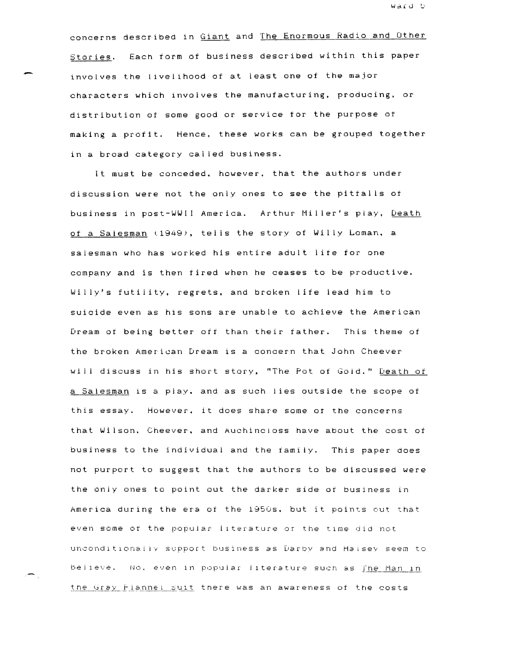Ward b.

concerns described in Giant and The Enormous Radio and Other Stories. Each form of business described within this paper involves the livelihood of at least one of the major characters which Involves the manufacturing, producing. or distribution ot some good or service for the purpose of making a profit. Hence, these works can be grouped together in a broad category cal led business.

It must be conceded, however, that the authors under discussion were not the only ones to see the pitfalls of business in post-WWII America. Arthur Miller's play, Death of a Salesman (1949), tells the story of Willy Loman, a salesman who has worked his entire adult life for one company and is then fired when he ceases to be productive. Willy's futility, regrets, and broken life lead him to suicide even as his sons are unable to achieve the American Dream of being better off than their father. This theme of the broken American Dream is a concern that John Cheever will discuss in his short story, "The Pot of Gold." Death of a Salesman is a play. and as such lies outside the scope of this essay. However, it does share some or the concerns that Wilson. Cheever, and Auchincloss have about the cost of business to the individual and the family. This paper does not purport to suggest that the authors to be discussed were the only ones to point out the darker side or business in America during the era of the 19505. but it points out that even some or the popular literature or the tIme did not unconditionally support business as Darby and Halsey seem to belleve. No. even in popular literature such as The Man in the Gray Flannel suit there was an awareness of the costs

-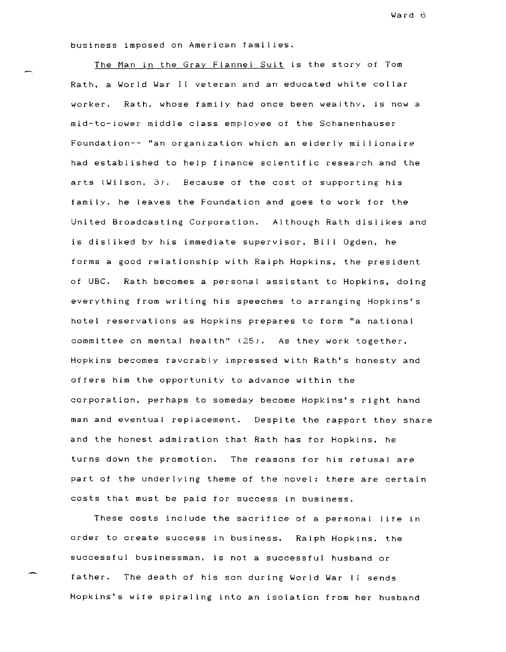business imposed on American families.

The Man in the Gray Flannel Suit is the story of Tom Rath. a World War II veteran and an educated white collar worker. Rath. whose family had once been wealthy. is now a mid-to-lower middle class employee of the Schanenhauser Foundation-- "an organization which an elderly millionaire had established to help finance scientific research and the arts (Wilson. 3). Because of the cost ot supporting his family. he leaves the Foundation and goes to work for the United Broadcasting Corporation. Although Rath dislikes and is disliked by his immediate supervisor, Bill Ogden, he forms a good relationship with Ralph Hopkins. the president of UBC. Rath becomes a personal assistant to Hopkins, doing everything from writing his speeches to arranging Hopkins's hotel reservations as Hopkins prepares to form "a national committee on mental health" (25). As they work together. Hopkins becomes favorably impressed with Rath's honesty and offers him the opportunity to advance within the corporation. perhaps to someday become Hopkins's right hand man and eventual replacement. Despite the rapport they share and the honest admiration that Rath has for Hopkins. he turns down the promotion. The reasons for his refusal are part of the underlying theme of the novel: there are certain costs that must be paid for success in business.

These costs include the sacrifice of a personal life in order to create success in business. Ralph Hopkins. the successful businessman. is not a successful husband or father. The death of his son during World War II sends Hopkins's wife spiraling into an isolation from her husband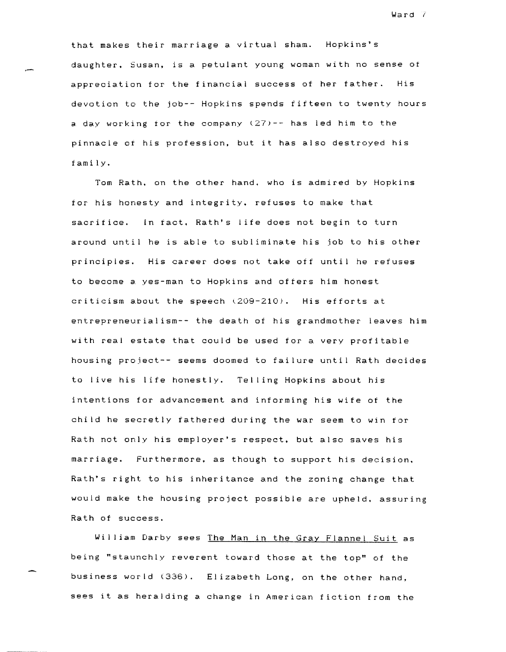that makes their marriage a virtual sham. Hopkins's daughter. Susan, is a petulant young woman with no sense of appreciation for the financial success of her father. His devotion to the job-- Hopkins spends fifteen to twenty hours a day working tor the company (27)-- has led him to the pinnacle of his profession, but it has also destroyed his family.

Tom Rath. on the other hand. who is admired by Hopkins for his honesty and integrity. refuses to make that sacrifice. In fact. Rath's life does not begin to turn around until he is able to subliminate his job to his other principles. His career does not take off until he refuses to become a yes-man to Hopkins and offers him honest criticism about the speech l209-210). His efforts at entrepreneurialism-- the death of his grandmother leaves him with real estate that could be used for a very profitable housing project-- seems doomed to failure until Rath decides to live his life honestly. Tel ling Hopkins about his intentions for advancement and informing his wife of the child he secretly fathered during the war seem to win for Rath not only his employer's respect, but also saves his marriage. Furthermore, as though to support his decision. Rath's right to his inheritance and the zoning change that would make the housing project possible are upheld. assuring Rath of success.

William Darby sees The Man in the Gray Flannel Suit as being "staunchly reverent toward those at the top" of the business world (336). Elizabeth Long, on the other hand, sees it as heralding a change in American fiction from the

Ward *i*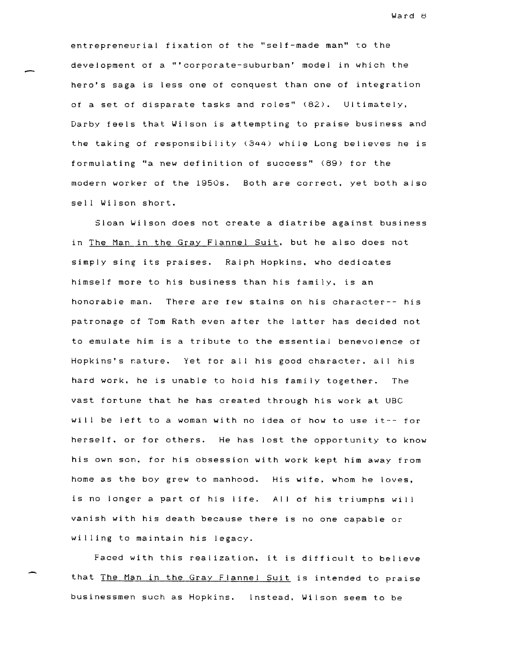entrepreneurial fixation of the "self-made man" to the development of a "'corporate-suburban' model in which the hero's saga is less one of conquest than one of integration of a set of disparate tasks and roles" (82). Ultimately, Darby feels that Wilson is attempting to praise business and the taking of responsibility (344) while Long believes he is formulating "a new definition of success" (89) for the modern worker of the 1950s. Both are correct, yet both also sell Wilson short.

Sloan Wilson does not create a diatribe against business in The Man in the Gray Flannel Suit. but he also does not simply sing its praises. Ralph Hopkins. who dedicates himself more to his business than his family. is an honorable man. There are tew stains on his character-- his patronage of Tom Rath even after the latter has decided not to emulate him is a tribute to the essential benevolence of Hopkins's nature. Yet for all his good character, all his hard work. he is unable to hold his family together. The vast fortune that he has created through his work at UBC will be left to a woman with no idea of how to use it-- for herself. or for others. He has lost the opportunity to know his own son. for his obsession with work kept him away from home as the boy grew to manhood. His wife, whom he loves, is no longer a part of his life. All of his triumphs wil vanish with his death because there is no one capable or willing to maintain his legacy.

Faced with this realization. it is difficult to believe that The Man in the Gray Flannel Suit is intended to praise businessmen such as Hopkins. Instead. Wilson seem to be

Ward B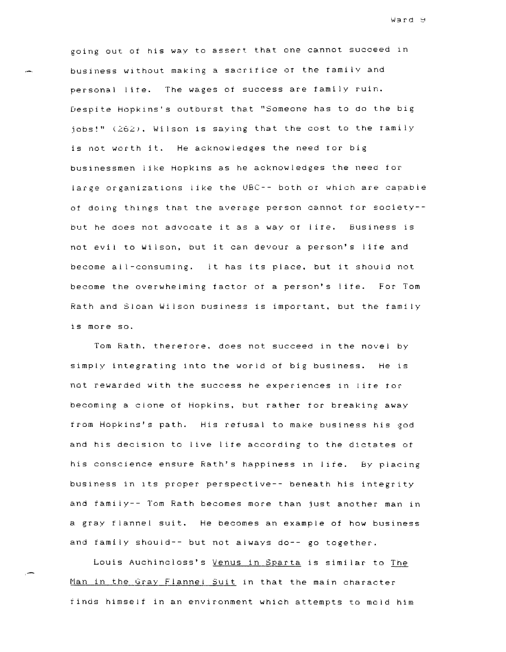going out of his way to assert that one cannot succeed In business without making a sacrifice ot the family and personal life. The wages of success are family ruin. Despite Hopkins's outburst that "Someone has to do the big  $i$ obs!" (262). Wilson is saying that the cost to the family is not worth it. He acknowledges the need for big businessmen like HopkIns as he acknowledges the need for large organizations like the UBC-- both or which are capable of doing things that the average person cannot for society- but he does not advocate it as a way or lite. Business is not evil to Wilson, but it can devour a person's life and become all-consuming. It has its place. but it should not become the overwhelming factor of a person's life. For Tom Rath and Sloan Wilson business is important. but the family is more so.

Tom Rath. therefore. does not succeed in the novel by simply integrating into the world of big business. He is not rewarded with the success he experiences in lite tor becoming a clone of Hopkins. but rather for breaking away from Hopkins's path. His refusal to make business his god and his decision to live life according to the dictates of his conscience ensure Rath's happiness In lite. By placing bUSIness in Its proper perspective-- beneath his integrity and family-- Tom Rath becomes more than just another man in a gray flannel suit. He becomes an example of how business and family should-- but not always do-- go together.

Louis Auchincloss's Venus in Sparta is similar to The Man in the Gray Flannel Suit in that the main character finds himself in an environment which attempts to mold him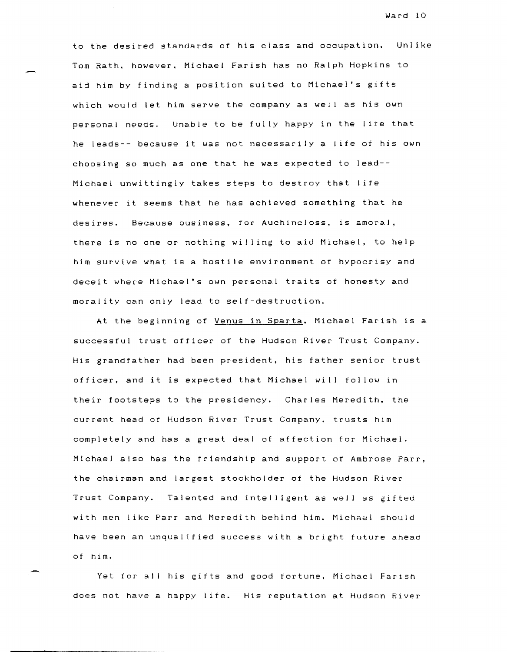to the desired standards of his class and occupation. Unlike Tom Rath. however. Michael Farish has no Ralph Hopkins to aid him by finding a position suited to Michael's gifts which would let him serve the company as well as his own personal needs. Unable to be fully happy in the life that he leads-- because it was not necessarily a life of his own choosing so much as one that he was expected to lead-- Michael unwittingly takes steps to destroy that life whenever it seems that he has achieved something that he desires. Because business, for Auchincloss. is amoral, there is no one or nothing willing to aid Michael. to help him survive what is a hostile environment of hypocrisy and deceit where Michael's own personal traits of honesty and

At the beginning of Venus in Sparta, Michael Farish is a successful trust officer of the Hudson River Trust Company. His grandfather had been president, his father senior trust officer, and it is expected that Michael will follow in their footsteps to the presidency. Charles Meredith, the current head of Hudson River Trust Company, trusts him completely and has a great deal of affection for Michael. Michael also has the friendship and support ot Ambrose Parr, the chairman and largest stockholder of the Hudson River Trust Company. Talented and intelligent as well as gifted with men like Parr and Meredith behind him. Michael should have been an unqualified success with a bright future ahead of him.

morality can only lead to self-destruction.

Yet for all his gifts and good tortune. Michael Farish does not have a happy life. His reputation at Hudson River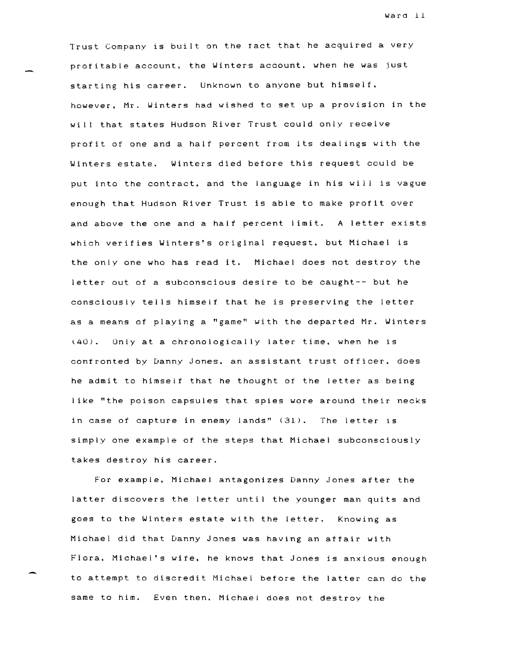Trust Company is built on the fact that he acquired a very profitable account. the Winters account. when he was just starting his career. Unknown to anyone but himself. however. Mr. Winters had wished to set up a provision in the will that states Hudson River Trust could only receive profit of one and a half percent from its dealings with the Winters estate. Winters died before this request could be put into the contract. and the language in his will is vague enough that Hudson River Trust is able to make profit over and above the one and a half percent limit. A letter exists which verifies Winters's original request. but Michael is the only one who has read it. Michael does not destroy the letter out of a subconscious desire to be caught-- but he consciously tells himself that he is preserving the letter as a means of playing a "game" with the departed Mr. Winters (40). Only at a chronologically later time. when he is confronted by Danny Jones. an assistant trust officer. does he admit to himself that he thought of the letter as being like "the poison capsules that spies wore around their necks in case of capture in enemy lands" (31). The letter is simply one example of the steps that Michael subconsciously takes destroy his career.

For example. Michael antagonizes Danny Jones after the latter discovers the letter until the younger man quits and goes to the Winters estate with the letter. Knowing as Michael did that Danny Jones was having an affair with Flora. Michael's wife. he knows that Jones is anxious enough to attempt to discredit Michael before the latter can do the same to him. Even then. Michael does not destroy the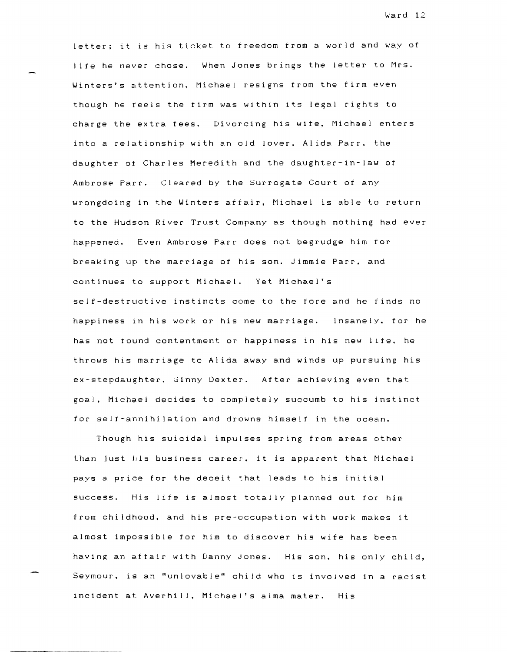letter; it is his ticket to freedom trom a world and way of life he never chose. When Jones brings the letter to Mrs. Winters's attention. Michael resigns from the firm even though he reels the firm was within its legal rights to charge the extra fees. Divorcing his wife, Michael enters into a relationship with an old lover. Alida Parr. the daughter of Charles Meredith and the daughter-in-law of Ambrose Parr. Cleared by the Surrogate Court of any wrongdoing in the Winters affair. Michael is able to return to the Hudson River Trust Company as though nothing had ever happened. Even Ambrose Parr does not begrudge him tor breaking up the marriage of his son. Jimmie Parr. and continues to support Michael. Yet Michael's self-destructive instincts come to the fore and he tinds no happiness in his work or his new marriage. Insanely. for he has not round contentment or happiness in his new life. he throws his marriage to Alida away and winds up pursuing his ex-stepdaughter. Ginny Dexter. After achieving even that goal. Michael decides to completely succumb to his instinct for self-annihilation and drowns himself in the ocean.

Though his suicidal impulses spring from areas other than jU9t his business career. it is apparent that Michael pays a price for the deceit that leads to his initial success. His life is almost totally planned out for him from childhood. and his pre-occupation with work makes it almost impossible for him to discover his wife has been having an affair with Danny Jones. His son. his only child, Seymour. is an "unlovable" child who is involved in a racist incident at Averhill, Michael's alma mater. His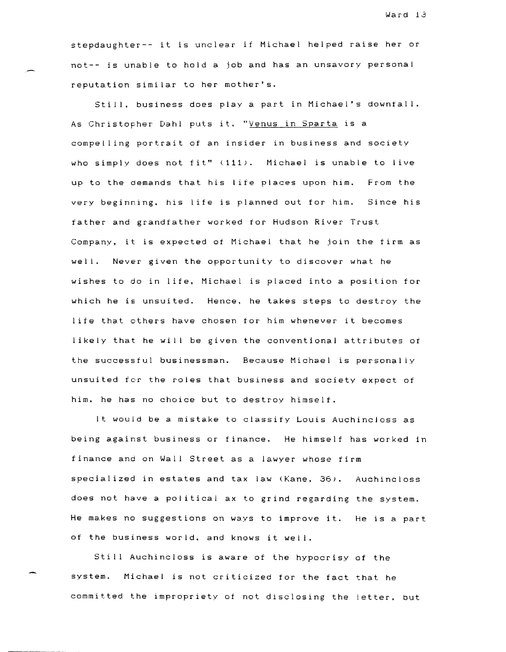stepdaughter-- it is unclear if Michael helped raise her or not-- is unable to hold a job and has an unsavory personal reputation similar to her mother's.

Still, business does play a part in Michael's downfall. As Christopher Dahl puts it. "Venus in Sparta is a compelling portrait of an insider in business and society who simply does not fit" (111). Michael is unable to live up to the demands that his life places upon him. From the very beginning. his life is planned out for him. Since his father and grandtather worked tor Hudson River Trust Company, it is expected of Michael that he join the firm as we II. Never given the opportunity to discover what he wishes to do in life, Michael is placed into a position for which he is unsuited. Hence, he takes steps to destroy the life that others have chosen for him whenever it becomes 1 ikely that he wi II be given the conventional attributes *ot*  the successful businessman. Because Michael is personally unsuited for the roles that business and society expect *ot*  him. he has no choice but to destroy himself.

It would be a mistake to classity Louis Auchincloss as being against business or finance. He himself has worked in finance and on Wall Street as a lawyer whose firm specialized in estates and tax law (Kane, 36). Auchincloss does not have a political ax to grind regarding the system. He makes no suggestions on ways to improve it. He is a part of the business world, and knows it well.

Still Auchincloss is aware of the hypocrisy of the system. Michael is not criticized for the fact that he committed the impropriety of not disclosing the letter. but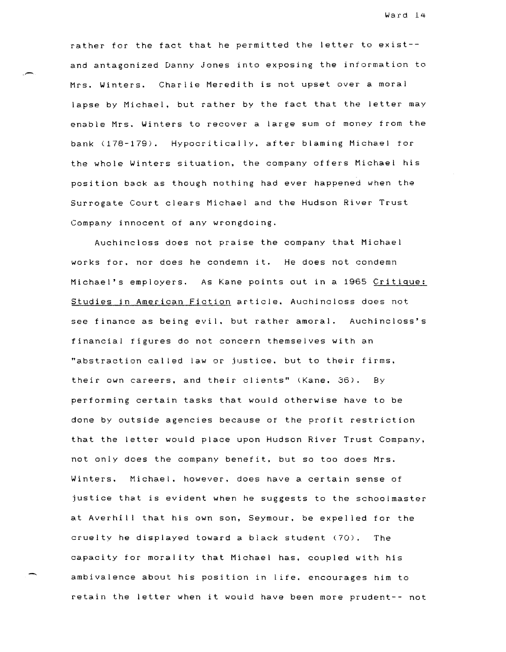rather for the tact that he permitted the letter to exist- and antagonized Danny Jones into exposing the information to Mrs. Winters. Charlie Meredith is not upset over a moral lapse by Michael, but rather by the fact that the letter may enable Mrs. Winters to recover a large sum of money from the bank (178-179). Hypocritically, after blaming Michael for the whole Winters situation, the company otters Michael his position back as though nothing had ever happened when the Surrogate Court clears Michael and the Hudson River Trust Company innocent of any wrongdoing.

Auchincloss does not praise the company that Michael works for. nor does he condemn it. He does not condemn Michael's employers. As Kane points out in a 1965 Critique: Studies in American Fiction article. Auchincloss does not see finance as being evil. but rather amoral. Auchincloss's financial figures do not concern themselves with an "abstraction called law or justice. but to their firms. their own careers, and their clients" (Kane. 36). By performing certain tasks that would otherwise have to be done by outside agencies because of the profit restriction that the letter would place upon Hudson River Trust Company, not only does the company benefit. but so too does Mrs. Winters. Michael. however. does have a certain sense of justice that is evident when he suggests to the schoolmaster at Averhill that his own son, Seymour, be expelled for the cruelty he displayed toward a black student (70). The capacity for morality that Michael has, coupled with his ambivalence about his position in life. encourages him to retain the letter when it would have been more prudent-- not

-.,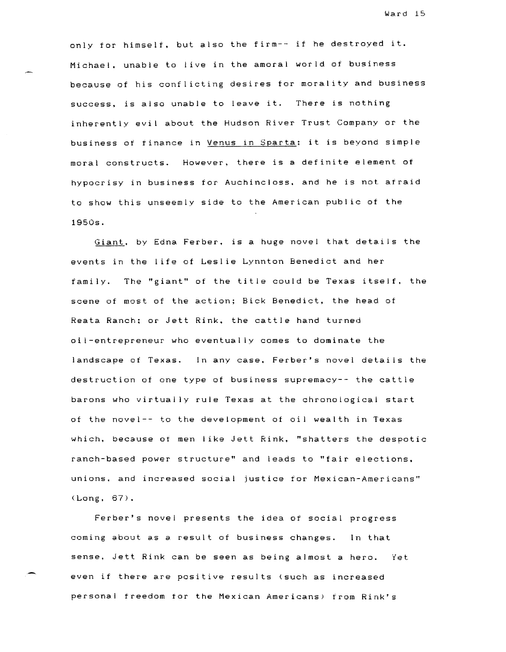only for himself, but also the firm-- if he destroyed it. Michael, unable to live in the amoral world of business because of his conflicting desires for morality and business success, is also unable to leave it. There is nothing inherently evil about the Hudson River Trust Company or the business of finance in Venus in Sparta; it is beyond simple moral constructs. However, there is a definite element of hypocrisy in business for Auchincloss. and he is not afraid to show this unseemly side to the American public of the 1950s.

Giant. by Edna Ferber. is a huge novel that details the events in the life of Leslie Lynnton Benedict and her family. The "giant" of the title could be Texas itself. the scene of most of the action; Bick Benedict. the head of Reata Ranch: or Jett Rink. the cattle hand turned oil-entrepreneur who eventually comes to dominate the landscape of Texas. In any case. Ferber's novel details the destruction of one type of business supremacy-- the cattle barons who virtually rule Texas at the chronological start of the novel-- to the development of oil wealth in Texas which. because ot men like Jett Rink. "shatters the despotic ranch-based power structure" and leads to "fair elections. unions. and increased social justice for Mexican-Americans" (Long, 67).

Ferber's novel presents the idea of social progress coming about as a result of business changes. In that sense. Jett Rink can be seen as being almost a hero. Yet even if there are positive results (such as increased personal freedom for the Mexican Americans) from Rink's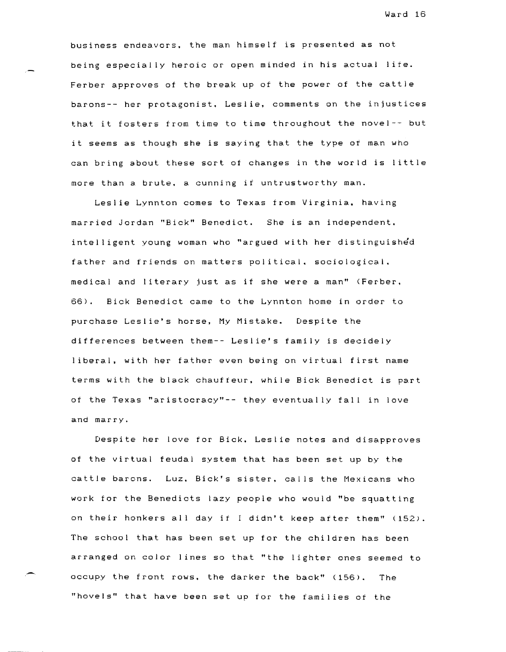business endeavors. the man himself is presented as not being especially heroic or open minded in his actual lite. Ferber approves of the break up of the power of the cattle barons-- her protagonist. Leslie. comments on the injustices that it fosters from time to time throughout the novel-- but it seems as though she is saying that the type of man who can bring about these sort of changes in the world is little more than a brute. a cunning if untrustworthy man.

Leslie Lynnton comes to Texas from Virginia. having married Jordan "Bick" Benedict. She is an independent. intelligent young woman who "argued with her distinguished father and friends on matters political. sociological. medical and literary just as if she were a man" (Ferber. 66) . Bick Benedict came to the Lynnton home in order to purchase Leslie's horse, My Mistake. Despite the differences between them-- Leslie's family is decidely I iberal, with her father even being on virtual first name terms with the black chauffeur, while Bick Benedict is part of the Texas "aristocracy"-- they eventually fall in love and marry.

Despite her love for Bick. Leslie notes and disapproves of the virtual feudal system that has been set up by the cattle barons. Luz. Bick's sister. calls the Mexicans who work for the Benedicts lazy people who would "be squatting on their honkers all day it didn't keep after them" (152). The school that has been set up for the children has been arranged on color lines so that "the lighter ones seemed to occupy the front rows. the darker the back" (156). The "hovels" that have been set up for the families of the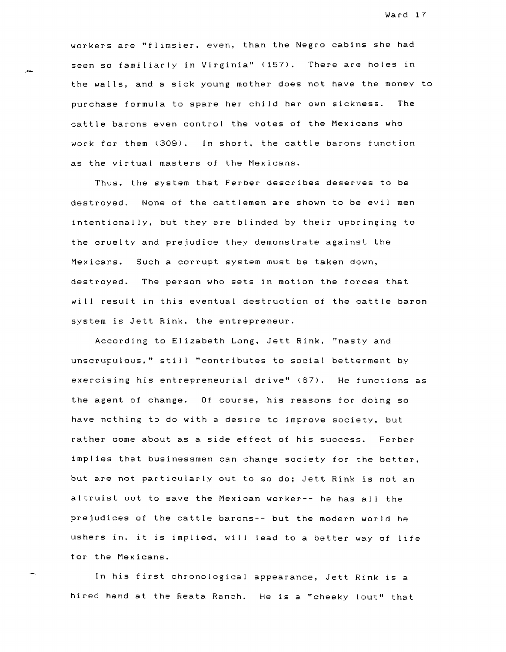workers are "flimsier. even. than the Negro cabins she had seen so familiarly in Virginia" (157). There are holes in the walls, and a sick young mother does not have the money to purchase formula to spare her child her own sickness. The cattle barons even control the votes of the Mexicans who work for them *(309).* In short. the cattle barons function as the virtual masters of the Mexicans.

Thus. the system that Ferber describes deserves to be destroyed. None of the cattlemen are shown to be evil men intentionally, but they are blinded by their upbringing to the cruelty and prejudice they demonstrate against the Mexicans. Such a corrupt system must be taken down. destroyed. The person who sets in motion the forces that will result in this eventual destruction of the cattle baron system is Jett Rink. the entrepreneur.

According to Elizabeth Long, Jett Rink. "nasty and unscrupulous." still "contributes to social betterment by exercising his entrepreneurial drive" (67). He functions as the agent of change. Of course, his reasons for doing so have nothing to do with a desire to improve society. but rather come about as a side effect of his success. Ferber implies that businessmen can change society for the better. but are not particularly out to so do; Jett Rink is not an altruist out to save the Mexican worker-- he has all the prejudices of the cattle barons-- but the modern world he ushers in, it is implied, will lead to a better way of life for the Mexicans.

In his first chronological appearance, Jett Rink is a hired hand at the Reata Ranch. He is a "cheeky lout" that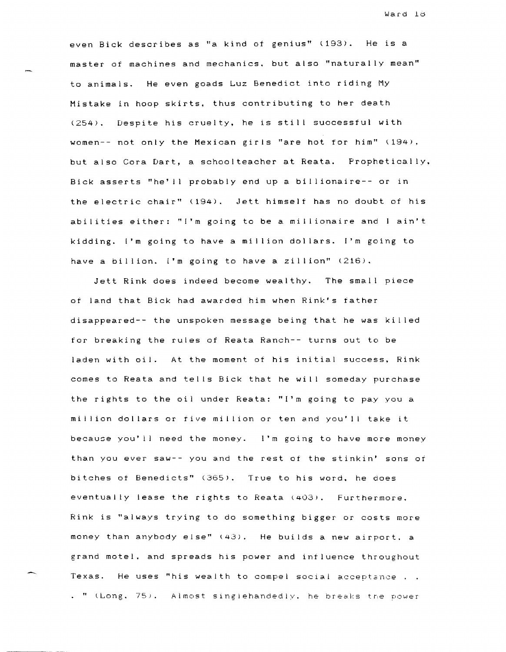even Bick describes as "a kind of genius" (193). He is a master of machines and mechanics. but also "naturally mean" to animals. He even goads Luz Benedict into riding My Mistake in hoop skirts, thus contributing to her death (254). Despite his cruelty, he is still successful with women-- not only the Mexican girls "are hot for him" (194). but also Cora Dart, a schoolteacher at Reata. Prophetically, Bick asserts "he'll probably end up a billionaire-- or in the electric chair" (194). Jett himself has no doubt of his abilities either: "I'm going to be a millionaire and I ain't kidding. ('m going to have a million dollars. I'm going to have a billion. I'm going to have a zillion" (216).

Jett Rink does indeed become wealthy. The small piece of land that Bick had awarded him when Rink's father disappeared-- the unspoken message being that he was killed for breaking the rules of Reata Ranch-- turns out to be laden with oil. At the moment of his initial success, Rink comes to Reata and tells Bick that he will someday purchase the rights to the oil under Reata: "I'm going to pay you a million dollars or five million or ten and you'll take it because you' 11 need the money. I'm going to have more money than you ever saw-- you and the rest of the stinkin' sons of bitches of Benedicts" (365). True to his word, he does eventually lease the rights to Reata (403). Furthermore. Rink is "always trying to do something bigger or costs more money than anybody else" (43). He builds a new airport. a grand motel. and spreads his power and influence throughout Texas. He uses "his wealth to compel social acceptance . " (Long. 75). Almost singlehandedly. he breaks the power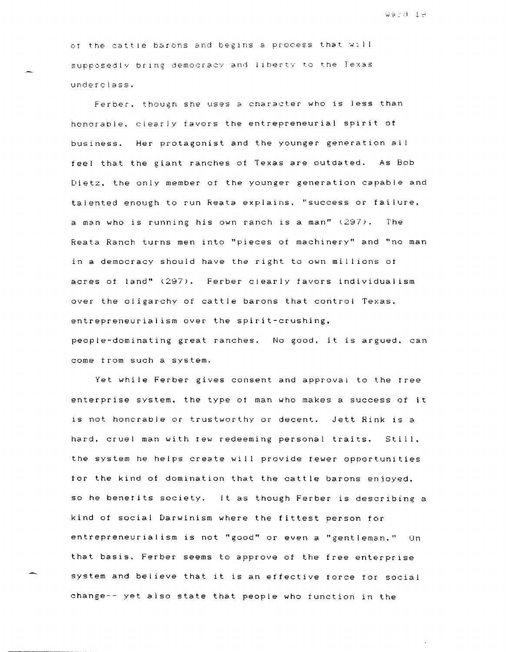Webd 19

of the cattle barons and begins a process that will supposedly bring democracy and liherty to the Texas underclass.

Ferber. though she uses a character who is less than honorable. clearly favors the entrepreneurial spirit of business. Her protagonist and the younger generation al feel that the giant ranches of Texas are outdated. As Bob Dietz, the only member of the younger generation capable and talented enough to run Reata explains. "success or failure, a man who is running his own ranch is a man" (297). fhe Reata Ranch turns men into "pieces of machinery" and "no man in a democracy should have the right to own millions of acres of land" (297). Ferber clearly favors individualism over the oligarchy of cattle barons that control Texas. entrepreneurial ism over the spirit-crushing. people-dominating great ranches. No good. it is argued. can come from such a system.

Yet while Ferber gives consent and approval to the tree enterprise system. the type of man who makes a success of it is not honcrable or trustworthy or decent. Jett Rink is a hard. cruel man with few redeeming personal traits. Still. the system he helps create will provide fewer opportunities for the kind of domination that the cattle barons enjoyed. so he benet its society. It as though Ferber is describing a kind of social Darwinism where the fittest person for entrepreneurialism is not "good" or even a "gentleman." Un that basis. Ferber seems to approve of the free enterprise system and believe that it is an effective force tor social change-- yet also state that people who function in the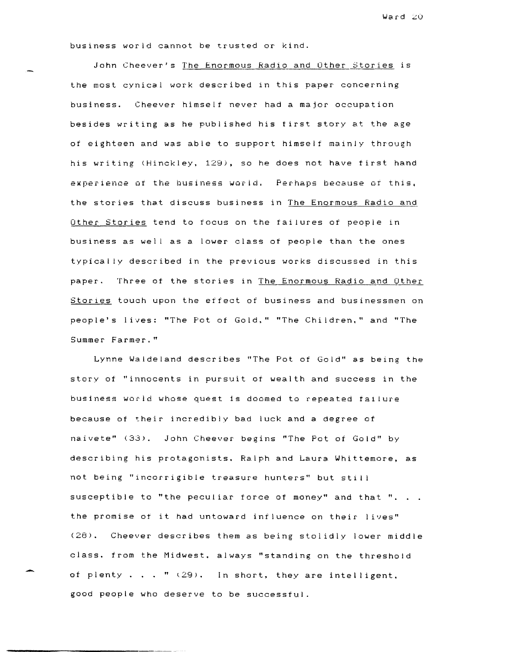business world cannot be trusted or kind.

John Cheever's The Enormous Radio and Other Stories is the most cynical work described in this paper concerning business. Cheever himself never had a major occupation besides writing as he published his first story at the age of eighteen and was able to support himself mainly through his writing (Hinckley. 129), so he does not have first hand experience of the business world. Perhaps because of this, the stories that discuss business in The Enormous Radio and Other Stories tend to focus on the failures of people in business as well as a lower class of people than the ones typically described in the previous works discussed in this paper. Three of the stories in The Enormous Radio and Other Stories touch upon the effect of business and businessmen on people's lives: "The Pot of Gold." "The Children." and "The Summer Farmer."

Lynne Walde land describes "The Pot of Gold" as being the story of "innocents in pursuit of wealth and success in the business world whose quest 1s doomed to repeated fa1lure because of their incredibly bad luck and a degree of naivete" (33). John Cheever begins "The Pot of Gold" by describing his protagonists. Ralph and Laura Whittemore, as not being "incorrigible treasure hunters" but still susceptible to "the peculiar force of money" and that ". . . the promise of it had untoward influence on their lives" (28) • Cheever describes them as being stolidly lower middle class. from the Midwest. always "standing on the threshold of plenty  $\ldots$  "  $(29)$ . In short, they are intelligent. good people who deserve to be successful.

,-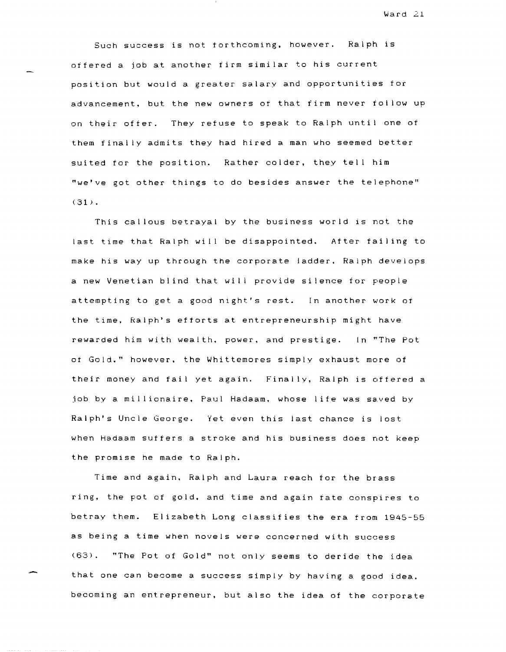Such success is not forthcoming. however. Ralph is offered a job at another firm similar to his current position but would a greater salary and opportunities for advancement. but the new owners of that firm never follow up on their offer. They refuse to speak to Ralph until one of them finally admits they had hired a man who seemed better suited for the position. Rather colder, they tell him "we've got other things to do besides answer the telephone"  $(31)$ .

This callous betrayal by the business world is not the last time that Ralph will be disappointed. After failing to make his way up through the corporate ladder. Ralph develops a new Venetian blind that will provide silence for people attempting to get a good night's rest. In another work of the time, Ralph's efforts at entrepreneurship might have rewarded him with wealth. power. and prestige. In "'The Pot of Gold." however. the Whittemores simply exhaust more of their money and fail yet again. Finally, Ralph is offered a job by a millionaire. Paul Hadaam. whose life was saved by Ralph's Uncle George. Yet even this last chance is lost when Hadaam suffers a stroke and his business does not keep the promise he made to Ralph.

Time and again. Ralph and Laura reach for the brass ring, the pot of gold. and time and again fate conspires to betray them. Elizabeth Long classifies the era from 1945-55 as being a time when novels were concerned with success (63) . "The Pot of Gold" not only seems to deride the idea that one can become a success Simply by having a good idea. becoming an entrepreneur. but also the idea of the corporate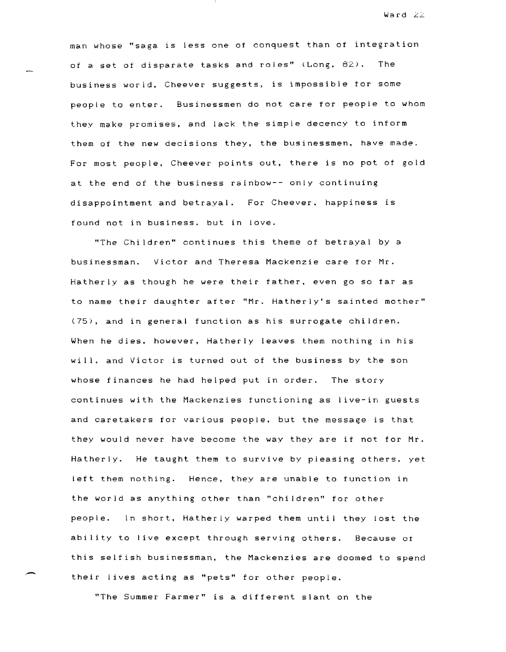man whose "saga is less one of conquest than of integration of a set of disparate tasks and roles" (Long, 82). The business world, Cheever suggests, is impossible for some people to enter. Businessmen do not care for people to whom they make promises, and lack the simple decency to inform them of the new decisions they, the businessmen, have made. For most people, Cheever points out, there is no pot of gold at the end of the business rainbow-- only continuing disappointment and betrayal. For Cheever, happiness is found not in business. but in love.

"The Children" continues this theme of betrayal by a businessman. Victor and Theresa Mackenzie care for Mr. Hatherly as though he were their father. even go so far as to name their daughter after "Mr. Hatherly's sainted mother" (75), and in general function as his surrogate children. When he dies. however, Hatherly leaves them nothing in his will. and Victor is turned out of the business by the son whose finances he had helped put in order. The story continues with the Mackenzies functioning as live-in guests and caretakers for various people, but the message is that they would never have become the way they are if not for Mr. Hatherly. He taught them to survive by pleasing others. yet left them nothing. Hence, they are unable to function in the world as anything other than "children" for other people. In short, Hatherly warped them until they lost the ability to live except through serving others. Because ot this selfish businessman, the Mackenzies are doomed to spend their lives acting as "pets" for other people.

"The Summer Farmer" is a different slant on the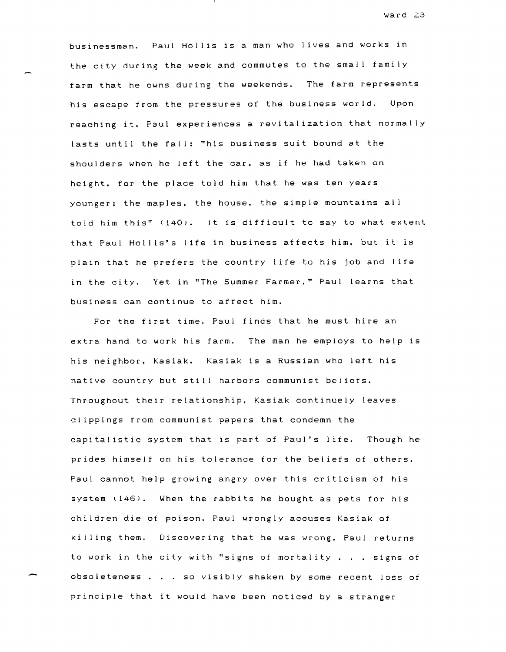ward 23

businessman. Paul Hollis is a man who lives and works in the city during the week and commutes to the small family farm that he owns during the weekends. The farm represents his escape from the pressures of the business world. Upon reaching it. Paul experiences a revitalization that normally lasts until the fall: "his business suit bound at the shoulders when he left the car. as if he had taken on height. for the place told him that he was ten years younger; the maples. the house. the simple mountains all told him this" (140). It is difficult to say to what extent that Paul Holl is's I ife in business affects him. but it is plain that he prefers the country life to his job and life in the city. Yet in "The Summer Farmer." Paul learns that business can continue to affect him.

For the first time. Paul finds that he must hire an extra hand to work his farm. The man he employs to help is his neighbor, kasiak. kasiak is a Russian who left his native country but still harbors communist beliefs. Throughout their relationship. kasiak continuely leaves clippings from communist papers that condemn the capitalistic system that is part of Paul's life. Though he prides himself on his tolerance for the beliefs of others. Paul cannot help growing angry over this criticism of his system  $(146)$ . When the rabbits he bought as pets for his children die of poison. Paul wrongly accuses Kasiak of killing them. Discovering that he was wrong. Paul returns to work in the city with "signs of mortality  $\ldots$  signs of obsoleteness. so visibly shaken by some recent loss of principle that it would have been noticed by a stranger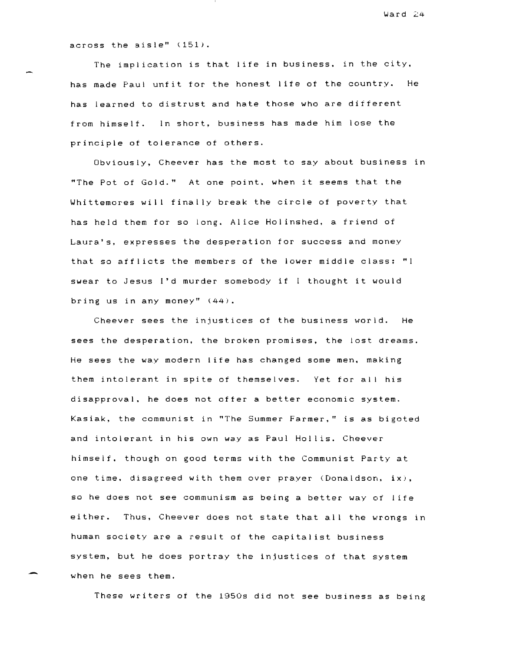across the aisle" (151).

The implication is that life in business. in the city. has made Paul unfit for the honest life of the country. He has learned to distrust and hate those who are different from himself. In short, business has made him lose the principle of tolerance of others.

Obviously, Cheever has the most to say about business in "The Pot of Gold." At one point. when it seems that the Whittemores will finally break the circle of poverty that has held them for so long. Alice Holinshed. a friend of Laura's, expresses the desperation for success and money that so afflicts the members of the lower middle class: "I swear to Jesus I'd murder somebody if thought it would bring us in any money" (44).

Cheever sees the injustices of the business world. He sees the desperation, the broken promises. the lost dreams. He sees the way modern life has changed some men, making them intolerant in spite of themselves. Yet for all his disapproval. he does not offer a better economic system. Kasiak. the communist in "The Summer Farmer." is as bigoted and intolerant in his own way as Paul Hollis. Cheever himself. though on good terms with the Communist Party at one time. disagreed with them over prayer (Donaldson. ix), so he does not see communism as being a better way of life either. Thus. Cheever does not state that all the wrongs in human society are a result of the capitalist business system, but he does portray the injustices of that system when he sees them.

These writers of the 1950s did not see business as being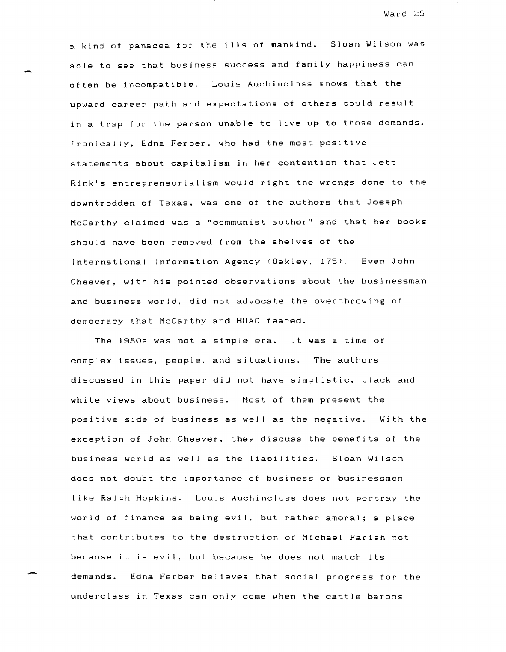a kind of panacea for the ills of mankind. Sloan Wilson was able to see that business success and family happiness can often be incompatible. Louis Auchincloss shows that the upward career path and expectations of others could result in a trap for the person unable to live up to those demands. Ironical ly, Edna Ferber. who had the most positive statements about capitalism in her contention that Jett Rink's entrepreneurial ism would right the wrongs done to the downtrodden of Texas. was one of the authors that Joseph McCarthy claimed was a "communist author" and that her books should have been removed from the shelves of the International Information Agency (Oakley. 175). Cheever, with his pointed observations about the businessman and business world. did not advocate the overthrowing of democracy that McCarthy and HUAC feared.

The 1950s was not a simple era. It was a time ot complex issues, people, and situations. The authors discussed in this paper did not have simplistic. black and white views about business. Most of them present the positive side of business as well as the negative. With the exception of John Cheever. they discuss the benefits of the business world as well as the liabilities. Sloan Wilson does not doubt the importance of business or businessmen like Ralph Hopkins. Louis Auchincloss does not portray the world of finance as being evil. but rather amoral: a place that contributes to the destruction of Michael Farish not because it is evil, but because he does not match its demands. Edna Ferber believes that social progress for the underclass in Texas can only come when the cattle barons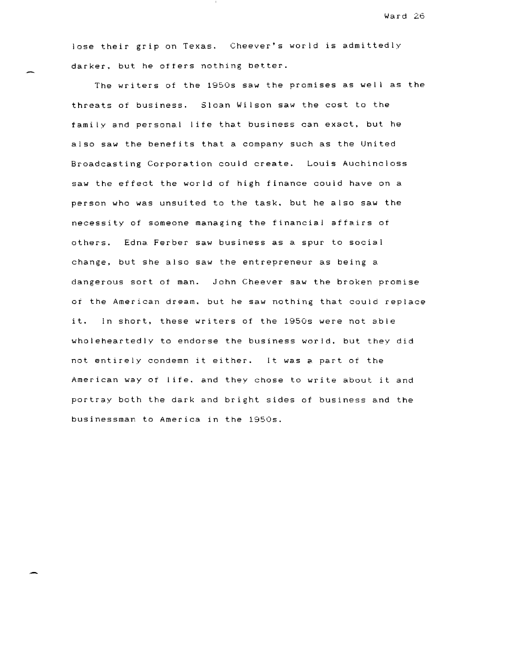lose their grip on Texas. Cheever's world is admittedly darker. but he offers nothing better.

The writers of the 1950s saw the promises as well as the threats of business. Sloan Wilson saw the cost to the family and personal life that business can exact, but he also saw the benefits that a company such as the United Broadcasting Corporation could create. Louis Auchincloss saw the effect the world of high finance could have on a person who was unsuited to the task. but he also saw the necessity of someone managing the financial affairs of others. Edna Ferber saw business as a spur to social change, but she also saw the entrepreneur as being a dangerous sort of man. John Cheever saw the broken promise of the American dream. but he saw nothing that could replace it. In short, these writers of the 1950s were not able wholeheartedly to endorse the business world. but they did not entirely condemn it either. It was a part of the American way of life. and they chose to write about it and portray both the dark and bright sides of business and the businessman to America in the 1950s.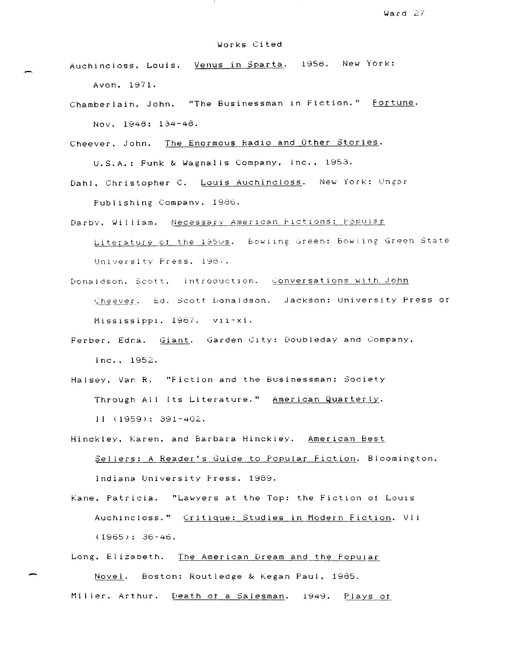## Works Cited

Auchincloss. Louis. Venus in Sparta. 1958. New York: Avon. 1971.

Chamberlain. John. "The Businessman in Fiction." Fortune. Nov. 1848: 134-48.

Cheever. John. The Enormous Radio and Other Stories.

U.S.A.: Funk & Wagnalls Company, Inc., 1953.

- Dahl, Christopher C. Louis Auchincloss. New York: Ungar Publishing Company, 1986.
- Darby, William. Necessary American Fictions: Popular Literature of the 1950s. Bowling Green: Bowling Green State

University Press, 1987.

- Donaldson. Scott. Introduction. Conversations with John Cheever. Ed. Scott Donaldson. Jackson: University Press of Mississippi, 1987. vii-xi.
- Ferber, Edna. Giant. Garden City: Doubleday and Company. Inc .. 1952.
- Halsey, Var R. "Fiction and the Businessman: Society Through All Its Literature." American Quarterly. I I (1959): 391-402.
- Hinckley, Karen, and Barbara Hinckley. American Best Sellers: A Reader's Guide to Popular Fiction. Bloomington.

Indiana University Fress. 1869.

kane. Patricia. "Lawyers at the Top: the Fiction of LOUIS Auchincloss." Critique: Studies in Modern Fiction. VII (1965): 36-46.

Long. Elizabeth. The American Dream and the Popular

Novel. Boston: Routledge & Kegan Paul, 1985. Miller, Arthur. Death of a Salesman. 1949. Plays of